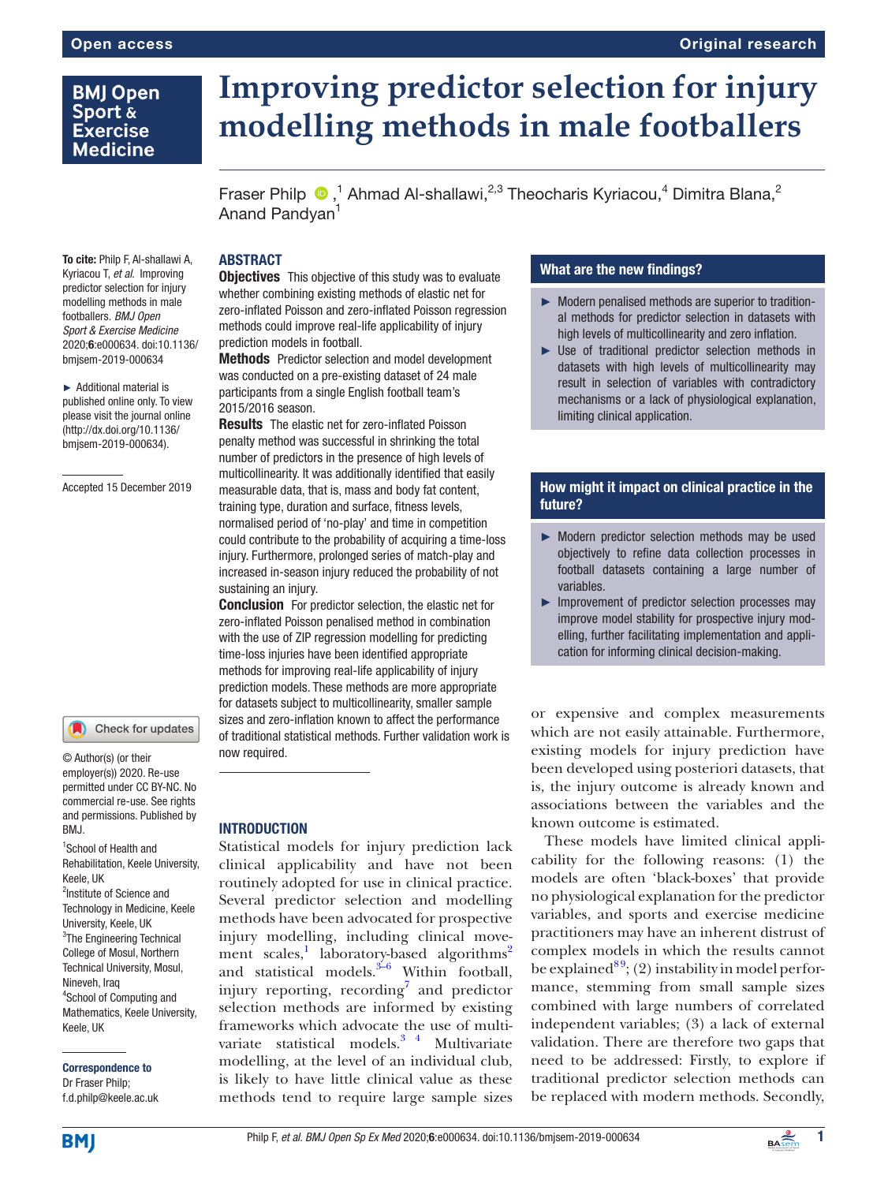# **BMJ Open** Sport & **Exercise Medicine**

# **Improving predictor selection for injury modelling methods in male footballers**

Fraser Philp  $\bullet$ ,<sup>1</sup> Ahmad Al-shallawi,<sup>2,3</sup> Theocharis Kyriacou,<sup>4</sup> Dimitra Blana,<sup>2</sup> Anand Pandyan<sup>1</sup>

# **ABSTRACT**

To cite: Philp F, Al-shallawi A, Kyriacou T, *et al*. Improving predictor selection for injury modelling methods in male footballers. *BMJ Open Sport & Exercise Medicine* 2020;6:e000634. doi:10.1136/ bmjsem-2019-000634

► Additional material is published online only. To view please visit the journal online (http://dx.doi.org/10.1136/ bmjsem-2019-000634).

Accepted 15 December 2019

# Check for updates

© Author(s) (or their employer(s)) 2020. Re-use permitted under CC BY-NC. No commercial re-use. See rights and permissions. Published by BMJ.

1 School of Health and Rehabilitation, Keele University, Keele, UK <sup>2</sup>Institute of Science and Technology in Medicine, Keele University, Keele, UK <sup>3</sup>The Engineering Technical College of Mosul, Northern Technical University, Mosul, Nineveh, Iraq 4 School of Computing and Mathematics, Keele University, Keele, UK

Correspondence to Dr Fraser Philp; f.d.philp@keele.ac.uk

**Objectives** This objective of this study was to evaluate whether combining existing methods of elastic net for zero-inflated Poisson and zero-inflated Poisson regression methods could improve real-life applicability of injury prediction models in football.

Methods Predictor selection and model development was conducted on a pre-existing dataset of 24 male participants from a single English football team's 2015/2016 season.

Results The elastic net for zero-inflated Poisson penalty method was successful in shrinking the total number of predictors in the presence of high levels of multicollinearity. It was additionally identified that easily measurable data, that is, mass and body fat content, training type, duration and surface, fitness levels, normalised period of 'no-play' and time in competition could contribute to the probability of acquiring a time-loss injury. Furthermore, prolonged series of match-play and increased in-season injury reduced the probability of not sustaining an injury.

**Conclusion** For predictor selection, the elastic net for zero-inflated Poisson penalised method in combination with the use of ZIP regression modelling for predicting time-loss injuries have been identified appropriate methods for improving real-life applicability of injury prediction models. These methods are more appropriate for datasets subject to multicollinearity, smaller sample sizes and zero-inflation known to affect the performance of traditional statistical methods. Further validation work is now required.

#### **INTRODUCTION**

Statistical models for injury prediction lack clinical applicability and have not been routinely adopted for use in clinical practice. Several predictor selection and modelling methods have been advocated for prospective injury modelling, including clinical movement scales,<sup>1</sup> laboratory-based algorithms<sup>2</sup> and statistical models. $3-6$  Within football, injury reporting, recording<sup>[7](#page-8-1)</sup> and predictor selection methods are informed by existing frameworks which advocate the use of multivariate statistical models. $3 \frac{4}{1}$  Multivariate modelling, at the level of an individual club, is likely to have little clinical value as these methods tend to require large sample sizes

# What are the new findings?

- ► Modern penalised methods are superior to traditional methods for predictor selection in datasets with high levels of multicollinearity and zero inflation.
- ► Use of traditional predictor selection methods in datasets with high levels of multicollinearity may result in selection of variables with contradictory mechanisms or a lack of physiological explanation, limiting clinical application.

# How might it impact on clinical practice in the future?

- ► Modern predictor selection methods may be used objectively to refine data collection processes in football datasets containing a large number of variables.
- ► Improvement of predictor selection processes may improve model stability for prospective injury modelling, further facilitating implementation and application for informing clinical decision-making.

or expensive and complex measurements which are not easily attainable. Furthermore, existing models for injury prediction have been developed using posteriori datasets, that is, the injury outcome is already known and associations between the variables and the known outcome is estimated.

These models have limited clinical applicability for the following reasons: (1) the models are often 'black-boxes' that provide no physiological explanation for the predictor variables, and sports and exercise medicine practitioners may have an inherent distrust of complex models in which the results cannot be explained  $8^9$ ; (2) instability in model performance, stemming from small sample sizes combined with large numbers of correlated independent variables; (3) a lack of external validation. There are therefore two gaps that need to be addressed: Firstly, to explore if traditional predictor selection methods can be replaced with modern methods. Secondly,

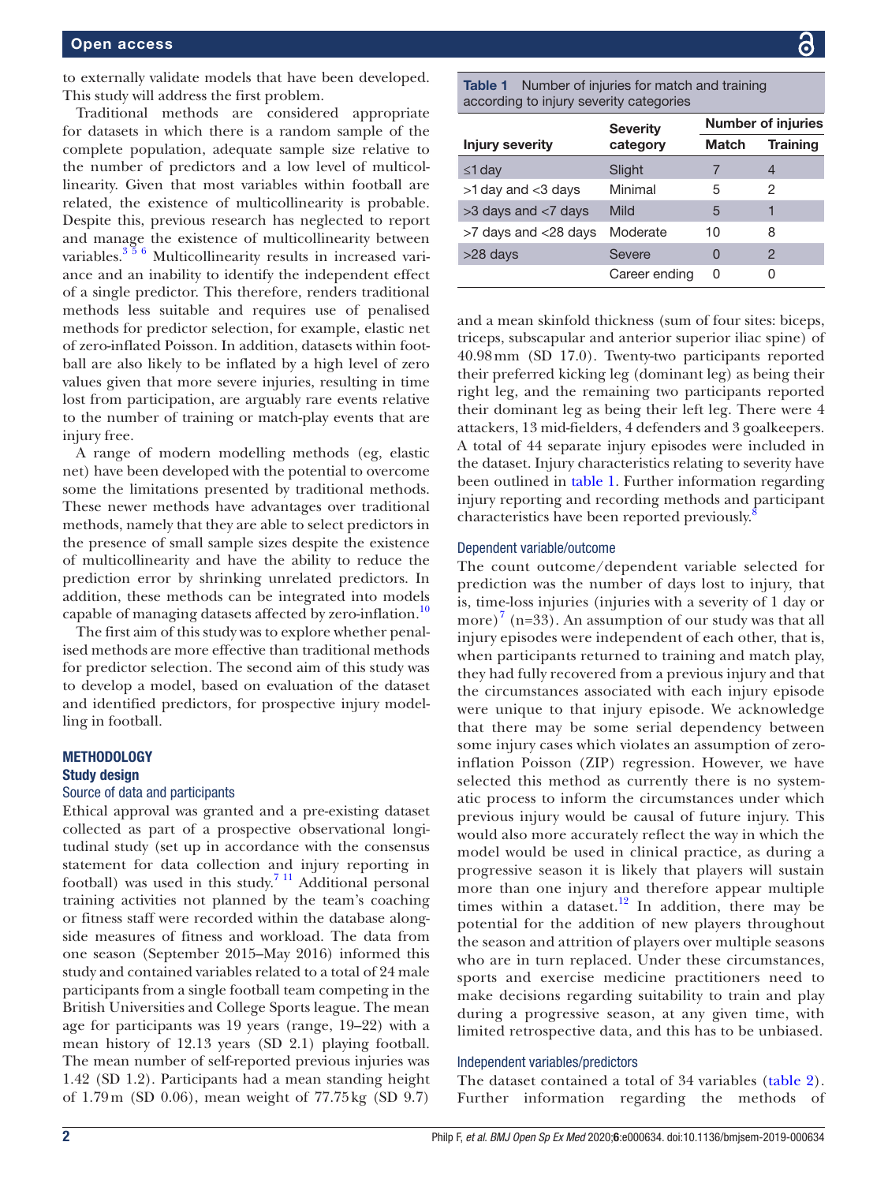to externally validate models that have been developed. This study will address the first problem.

Traditional methods are considered appropriate for datasets in which there is a random sample of the complete population, adequate sample size relative to the number of predictors and a low level of multicollinearity. Given that most variables within football are related, the existence of multicollinearity is probable. Despite this, previous research has neglected to report and manage the existence of multicollinearity between variables. $3\overline{5}$ <sup>6</sup> Multicollinearity results in increased variance and an inability to identify the independent effect of a single predictor. This therefore, renders traditional methods less suitable and requires use of penalised methods for predictor selection, for example, elastic net of zero-inflated Poisson. In addition, datasets within football are also likely to be inflated by a high level of zero values given that more severe injuries, resulting in time lost from participation, are arguably rare events relative to the number of training or match-play events that are injury free.

A range of modern modelling methods (eg, elastic net) have been developed with the potential to overcome some the limitations presented by traditional methods. These newer methods have advantages over traditional methods, namely that they are able to select predictors in the presence of small sample sizes despite the existence of multicollinearity and have the ability to reduce the prediction error by shrinking unrelated predictors. In addition, these methods can be integrated into models capable of managing datasets affected by zero-inflation.<sup>10</sup>

The first aim of this study was to explore whether penalised methods are more effective than traditional methods for predictor selection. The second aim of this study was to develop a model, based on evaluation of the dataset and identified predictors, for prospective injury modelling in football.

# **METHODOLOGY** Study design

# Source of data and participants

Ethical approval was granted and a pre-existing dataset collected as part of a prospective observational longitudinal study (set up in accordance with the consensus statement for data collection and injury reporting in football) was used in this study.<sup>7 11</sup> Additional personal training activities not planned by the team's coaching or fitness staff were recorded within the database alongside measures of fitness and workload. The data from one season (September 2015–May 2016) informed this study and contained variables related to a total of 24 male participants from a single football team competing in the British Universities and College Sports league. The mean age for participants was 19 years (range, 19–22) with a mean history of 12.13 years (SD 2.1) playing football. The mean number of self-reported previous injuries was 1.42 (SD 1.2). Participants had a mean standing height of 1.79m (SD 0.06), mean weight of 77.75kg (SD 9.7)

<span id="page-1-0"></span>Table 1 Number of injuries for match and training according to injury severity categories

|                         | <b>Severity</b> | <b>Number of injuries</b> |                 |  |  |
|-------------------------|-----------------|---------------------------|-----------------|--|--|
| <b>Injury severity</b>  | category        | <b>Match</b>              | <b>Training</b> |  |  |
| $\leq$ 1 day            | Slight          |                           | 4               |  |  |
| $>1$ day and $<$ 3 days | Minimal         | 5                         | 2               |  |  |
| >3 days and <7 days     | Mild            | 5                         |                 |  |  |
| >7 days and <28 days    | Moderate        | 10                        | 8               |  |  |
| $>28$ days              | Severe          | 0                         | $\mathcal{P}$   |  |  |
|                         | Career ending   | Ω                         |                 |  |  |

and a mean skinfold thickness (sum of four sites: biceps, triceps, subscapular and anterior superior iliac spine) of 40.98mm (SD 17.0). Twenty-two participants reported their preferred kicking leg (dominant leg) as being their right leg, and the remaining two participants reported their dominant leg as being their left leg. There were 4 attackers, 13 mid-fielders, 4 defenders and 3 goalkeepers. A total of 44 separate injury episodes were included in the dataset. Injury characteristics relating to severity have been outlined in [table](#page-1-0) 1. Further information regarding injury reporting and recording methods and participant characteristics have been reported previously.<sup>[8](#page-8-2)</sup>

#### Dependent variable/outcome

The count outcome/dependent variable selected for prediction was the number of days lost to injury, that is, time-loss injuries (injuries with a severity of 1 day or more)<sup>[7](#page-8-1)</sup> (n=33). An assumption of our study was that all injury episodes were independent of each other, that is, when participants returned to training and match play, they had fully recovered from a previous injury and that the circumstances associated with each injury episode were unique to that injury episode. We acknowledge that there may be some serial dependency between some injury cases which violates an assumption of zeroinflation Poisson (ZIP) regression. However, we have selected this method as currently there is no systematic process to inform the circumstances under which previous injury would be causal of future injury. This would also more accurately reflect the way in which the model would be used in clinical practice, as during a progressive season it is likely that players will sustain more than one injury and therefore appear multiple times within a dataset.<sup>12</sup> In addition, there may be potential for the addition of new players throughout the season and attrition of players over multiple seasons who are in turn replaced. Under these circumstances, sports and exercise medicine practitioners need to make decisions regarding suitability to train and play during a progressive season, at any given time, with limited retrospective data, and this has to be unbiased.

#### Independent variables/predictors

The dataset contained a total of 34 variables [\(table](#page-2-0) 2). Further information regarding the methods of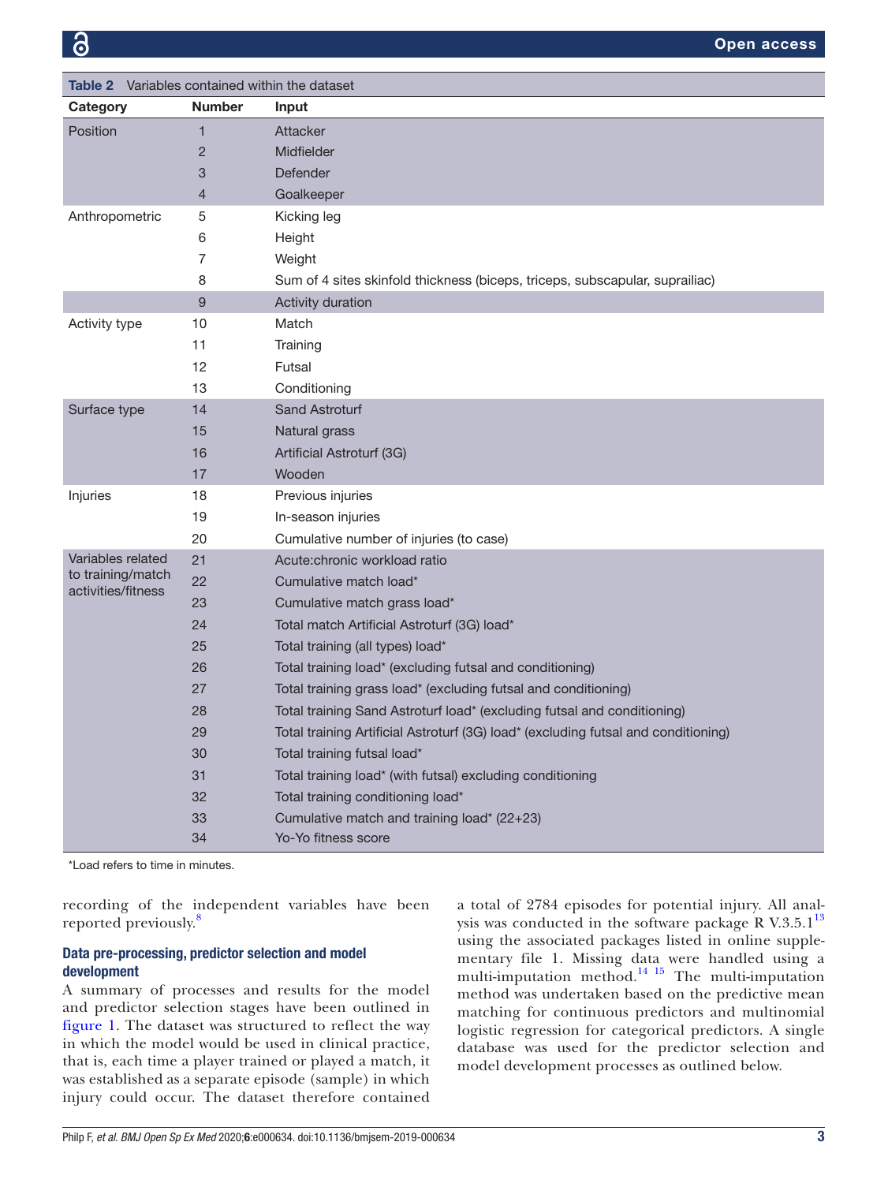<span id="page-2-0"></span>

| <b>Table 2</b> Variables contained within the dataset |                |                                                                                    |  |  |
|-------------------------------------------------------|----------------|------------------------------------------------------------------------------------|--|--|
| Category                                              | <b>Number</b>  | Input                                                                              |  |  |
| Position                                              | $\mathbf{1}$   | Attacker                                                                           |  |  |
|                                                       | $\overline{2}$ | Midfielder                                                                         |  |  |
|                                                       | 3              | Defender                                                                           |  |  |
|                                                       | 4              | Goalkeeper                                                                         |  |  |
| Anthropometric                                        | 5              | Kicking leg                                                                        |  |  |
|                                                       | 6              | Height                                                                             |  |  |
|                                                       | $\overline{7}$ | Weight                                                                             |  |  |
|                                                       | 8              | Sum of 4 sites skinfold thickness (biceps, triceps, subscapular, suprailiac)       |  |  |
|                                                       | $9\,$          | Activity duration                                                                  |  |  |
| Activity type                                         | 10             | Match                                                                              |  |  |
|                                                       | 11             | Training                                                                           |  |  |
|                                                       | 12             | Futsal                                                                             |  |  |
|                                                       | 13             | Conditioning                                                                       |  |  |
| Surface type                                          | 14             | <b>Sand Astroturf</b>                                                              |  |  |
|                                                       | 15             | Natural grass                                                                      |  |  |
|                                                       | 16             | Artificial Astroturf (3G)                                                          |  |  |
|                                                       | 17             | Wooden                                                                             |  |  |
| Injuries                                              | 18             | Previous injuries                                                                  |  |  |
|                                                       | 19             | In-season injuries                                                                 |  |  |
|                                                       | 20             | Cumulative number of injuries (to case)                                            |  |  |
| Variables related                                     | 21             | Acute: chronic workload ratio                                                      |  |  |
| to training/match<br>activities/fitness               | 22             | Cumulative match load*                                                             |  |  |
|                                                       | 23             | Cumulative match grass load*                                                       |  |  |
|                                                       | 24             | Total match Artificial Astroturf (3G) load*                                        |  |  |
|                                                       | 25             | Total training (all types) load*                                                   |  |  |
|                                                       | 26             | Total training load* (excluding futsal and conditioning)                           |  |  |
|                                                       | 27             | Total training grass load* (excluding futsal and conditioning)                     |  |  |
|                                                       | 28             | Total training Sand Astroturf load* (excluding futsal and conditioning)            |  |  |
|                                                       | 29             | Total training Artificial Astroturf (3G) load* (excluding futsal and conditioning) |  |  |
|                                                       | 30             | Total training futsal load*                                                        |  |  |
|                                                       | 31             | Total training load* (with futsal) excluding conditioning                          |  |  |
|                                                       | 32             | Total training conditioning load*                                                  |  |  |
|                                                       | 33             | Cumulative match and training load* (22+23)                                        |  |  |
|                                                       | 34             | Yo-Yo fitness score                                                                |  |  |

\*Load refers to time in minutes.

recording of the independent variables have been reported previously.<sup>[8](#page-8-2)</sup>

# Data pre-processing, predictor selection and model development

A summary of processes and results for the model and predictor selection stages have been outlined in [figure](#page-3-0) 1. The dataset was structured to reflect the way in which the model would be used in clinical practice, that is, each time a player trained or played a match, it was established as a separate episode (sample) in which injury could occur. The dataset therefore contained

a total of 2784 episodes for potential injury. All anal-ysis was conducted in the software package R V.3.5.1<sup>[13](#page-8-5)</sup> using the associated packages listed in [online supple](https://dx.doi.org/10.1136/bmjsem-2019-000634)[mentary file 1](https://dx.doi.org/10.1136/bmjsem-2019-000634). Missing data were handled using a multi-imputation method.<sup>[14 15](#page-8-6)</sup> The multi-imputation method was undertaken based on the predictive mean matching for continuous predictors and multinomial logistic regression for categorical predictors. A single database was used for the predictor selection and model development processes as outlined below.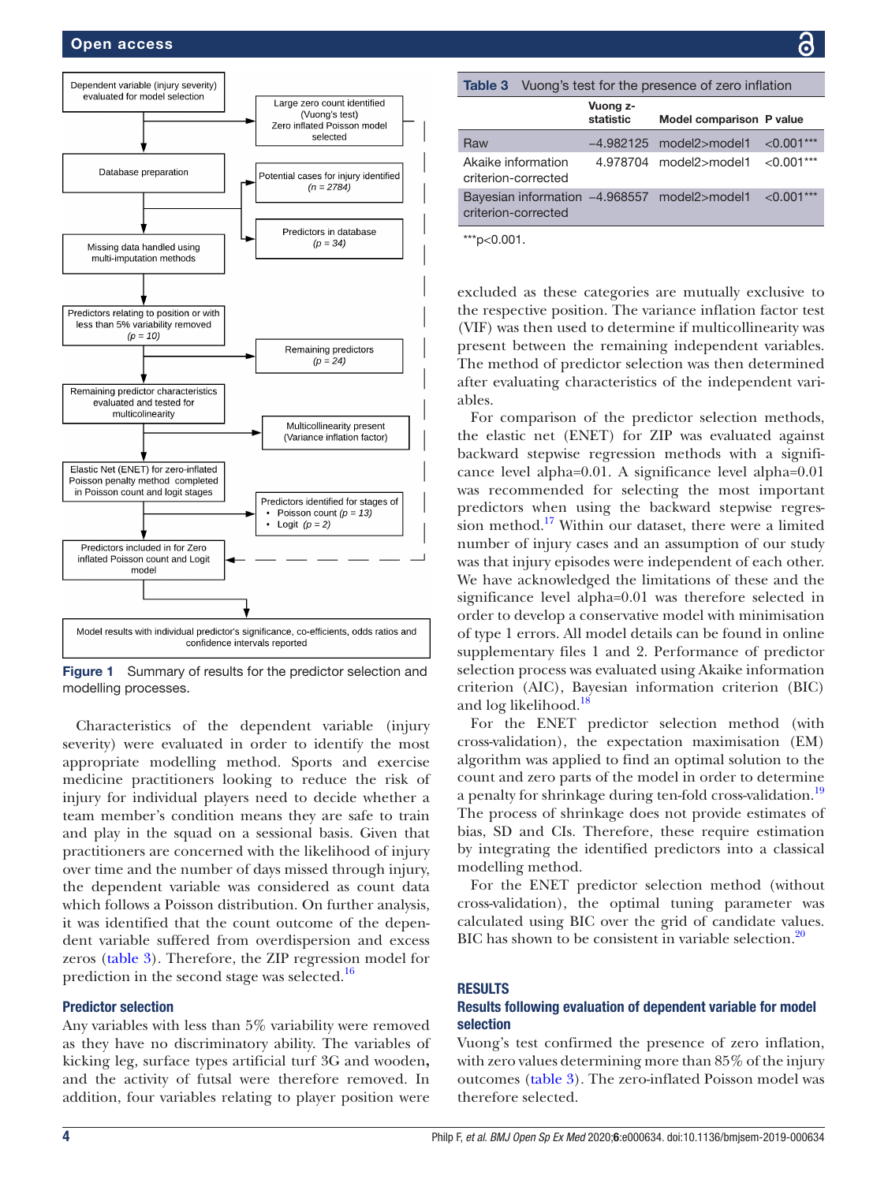

<span id="page-3-0"></span>Figure 1 Summary of results for the predictor selection and modelling processes.

Characteristics of the dependent variable (injury severity) were evaluated in order to identify the most appropriate modelling method. Sports and exercise medicine practitioners looking to reduce the risk of injury for individual players need to decide whether a team member's condition means they are safe to train and play in the squad on a sessional basis. Given that practitioners are concerned with the likelihood of injury over time and the number of days missed through injury, the dependent variable was considered as count data which follows a Poisson distribution. On further analysis, it was identified that the count outcome of the dependent variable suffered from overdispersion and excess zeros ([table](#page-3-1) 3). Therefore, the ZIP regression model for prediction in the second stage was selected.<sup>[16](#page-8-7)</sup>

# Predictor selection

Any variables with less than 5% variability were removed as they have no discriminatory ability. The variables of kicking leg, surface types artificial turf 3G and wooden**,** and the activity of futsal were therefore removed. In addition, four variables relating to player position were

<span id="page-3-1"></span>

| Vuong's test for the presence of zero inflation<br>Table 3          |                       |                           |              |  |  |  |  |
|---------------------------------------------------------------------|-----------------------|---------------------------|--------------|--|--|--|--|
|                                                                     | Vuong z-<br>statistic | Model comparison P value  |              |  |  |  |  |
| Raw                                                                 |                       | $-4.982125$ model2>model1 | $< 0.001***$ |  |  |  |  |
| Akaike information<br>criterion-corrected                           |                       | 4.978704 model2>model1    | $< 0.001***$ |  |  |  |  |
| Bayesian information -4.968557 model2>model1<br>criterion-corrected |                       |                           | $< 0.001***$ |  |  |  |  |
|                                                                     |                       |                           |              |  |  |  |  |

\*\*\*p<0.001.

excluded as these categories are mutually exclusive to the respective position. The variance inflation factor test (VIF) was then used to determine if multicollinearity was present between the remaining independent variables. The method of predictor selection was then determined after evaluating characteristics of the independent variables.

For comparison of the predictor selection methods, the elastic net (ENET) for ZIP was evaluated against backward stepwise regression methods with a significance level alpha=0.01. A significance level alpha=0.01 was recommended for selecting the most important predictors when using the backward stepwise regression method. $17$  Within our dataset, there were a limited number of injury cases and an assumption of our study was that injury episodes were independent of each other. We have acknowledged the limitations of these and the significance level alpha=0.01 was therefore selected in order to develop a conservative model with minimisation of type 1 errors. All model details can be found in [online](https://dx.doi.org/10.1136/bmjsem-2019-000634) [supplementary files 1 and 2](https://dx.doi.org/10.1136/bmjsem-2019-000634). Performance of predictor selection process was evaluated using Akaike information criterion (AIC), Bayesian information criterion (BIC) and  $\log$  likelihood.<sup>18</sup>

For the ENET predictor selection method (with cross-validation), the expectation maximisation (EM) algorithm was applied to find an optimal solution to the count and zero parts of the model in order to determine a penalty for shrinkage during ten-fold cross-validation.<sup>[19](#page-8-10)</sup> The process of shrinkage does not provide estimates of bias, SD and CIs. Therefore, these require estimation by integrating the identified predictors into a classical modelling method.

For the ENET predictor selection method (without cross-validation), the optimal tuning parameter was calculated using BIC over the grid of candidate values. BIC has shown to be consistent in variable selection. $20$ 

# **RESULTS**

# Results following evaluation of dependent variable for model selection

Vuong's test confirmed the presence of zero inflation, with zero values determining more than 85% of the injury outcomes ([table](#page-3-1) 3). The zero-inflated Poisson model was therefore selected.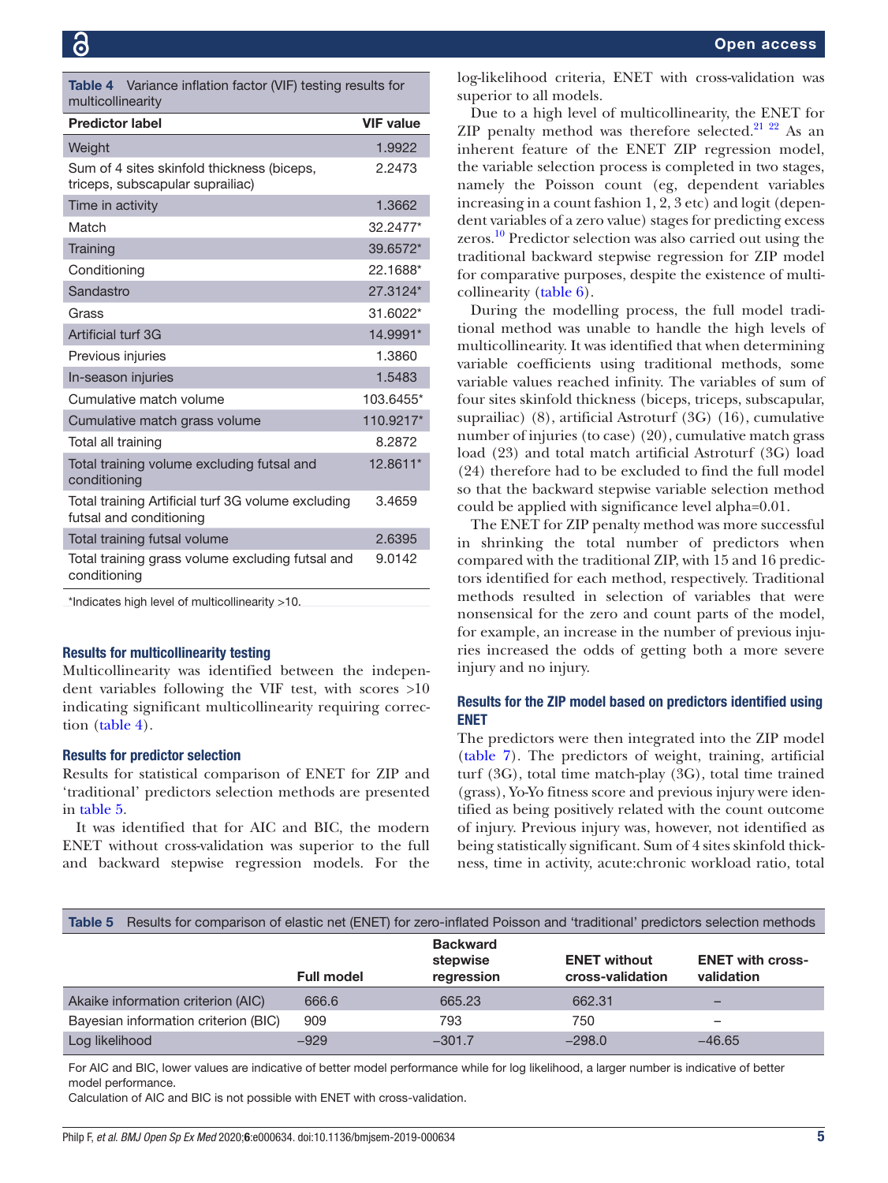<span id="page-4-0"></span>Table 4 Variance inflation factor (VIF) testing results for multicollinearity

| <b>Predictor label</b>                                                         | <b>VIF value</b> |
|--------------------------------------------------------------------------------|------------------|
| Weight                                                                         | 1.9922           |
| Sum of 4 sites skinfold thickness (biceps,<br>triceps, subscapular suprailiac) | 2.2473           |
| Time in activity                                                               | 1.3662           |
| Match                                                                          | 32.2477*         |
| Training                                                                       | 39.6572*         |
| Conditioning                                                                   | 22.1688*         |
| Sandastro                                                                      | 27.3124*         |
| Grass                                                                          | 31.6022*         |
| Artificial turf 3G                                                             | 14.9991*         |
| Previous injuries                                                              | 1.3860           |
| In-season injuries                                                             | 1.5483           |
| Cumulative match volume                                                        | 103.6455*        |
| Cumulative match grass volume                                                  | 110.9217*        |
| Total all training                                                             | 8.2872           |
| Total training volume excluding futsal and<br>conditioning                     | 12.8611*         |
| Total training Artificial turf 3G volume excluding<br>futsal and conditioning  | 3.4659           |
| Total training futsal volume                                                   | 2.6395           |
| Total training grass volume excluding futsal and<br>conditioning               | 9.0142           |
| *Indicates high level of multicollinearity >10.                                |                  |

#### Results for multicollinearity testing

Multicollinearity was identified between the independent variables following the VIF test, with scores >10 indicating significant multicollinearity requiring correction ([table](#page-4-0) 4).

#### Results for predictor selection

Results for statistical comparison of ENET for ZIP and 'traditional' predictors selection methods are presented in [table](#page-4-1) 5.

It was identified that for AIC and BIC, the modern ENET without cross-validation was superior to the full and backward stepwise regression models. For the

log-likelihood criteria, ENET with cross-validation was superior to all models.

Due to a high level of multicollinearity, the ENET for ZIP penalty method was therefore selected. $^{21}$   $^{22}$  As an inherent feature of the ENET ZIP regression model, the variable selection process is completed in two stages, namely the Poisson count (eg, dependent variables increasing in a count fashion 1, 2, 3 etc) and logit (dependent variables of a zero value) stages for predicting excess zeros.<sup>10</sup> Predictor selection was also carried out using the traditional backward stepwise regression for ZIP model for comparative purposes, despite the existence of multicollinearity [\(table](#page-5-0) 6).

During the modelling process, the full model traditional method was unable to handle the high levels of multicollinearity. It was identified that when determining variable coefficients using traditional methods, some variable values reached infinity. The variables of sum of four sites skinfold thickness (biceps, triceps, subscapular, suprailiac) (8), artificial Astroturf (3G) (16), cumulative number of injuries (to case) (20), cumulative match grass load (23) and total match artificial Astroturf (3G) load (24) therefore had to be excluded to find the full model so that the backward stepwise variable selection method could be applied with significance level alpha=0.01.

The ENET for ZIP penalty method was more successful in shrinking the total number of predictors when compared with the traditional ZIP, with 15 and 16 predictors identified for each method, respectively. Traditional methods resulted in selection of variables that were nonsensical for the zero and count parts of the model, for example, an increase in the number of previous injuries increased the odds of getting both a more severe injury and no injury.

# Results for the ZIP model based on predictors identified using ENET

The predictors were then integrated into the ZIP model [\(table](#page-6-0) 7). The predictors of weight, training, artificial turf (3G), total time match-play (3G), total time trained (grass), Yo-Yo fitness score and previous injury were identified as being positively related with the count outcome of injury. Previous injury was, however, not identified as being statistically significant. Sum of 4 sites skinfold thickness, time in activity, acute:chronic workload ratio, total

<span id="page-4-1"></span>

| Results for comparison of elastic net (ENET) for zero-inflated Poisson and 'traditional' predictors selection methods<br>Table 5 |                   |                                           |                                         |                                       |  |  |
|----------------------------------------------------------------------------------------------------------------------------------|-------------------|-------------------------------------------|-----------------------------------------|---------------------------------------|--|--|
|                                                                                                                                  | <b>Full model</b> | <b>Backward</b><br>stepwise<br>regression | <b>ENET without</b><br>cross-validation | <b>ENET with cross-</b><br>validation |  |  |
| Akaike information criterion (AIC)                                                                                               | 666.6             | 665.23                                    | 662.31                                  | $\overline{\phantom{0}}$              |  |  |
| Bayesian information criterion (BIC)                                                                                             | 909               | 793                                       | 750                                     | -                                     |  |  |
| Log likelihood                                                                                                                   | $-929$            | $-301.7$                                  | $-298.0$                                | $-46.65$                              |  |  |

For AIC and BIC, lower values are indicative of better model performance while for log likelihood, a larger number is indicative of better model performance.

Calculation of AIC and BIC is not possible with ENET with cross-validation.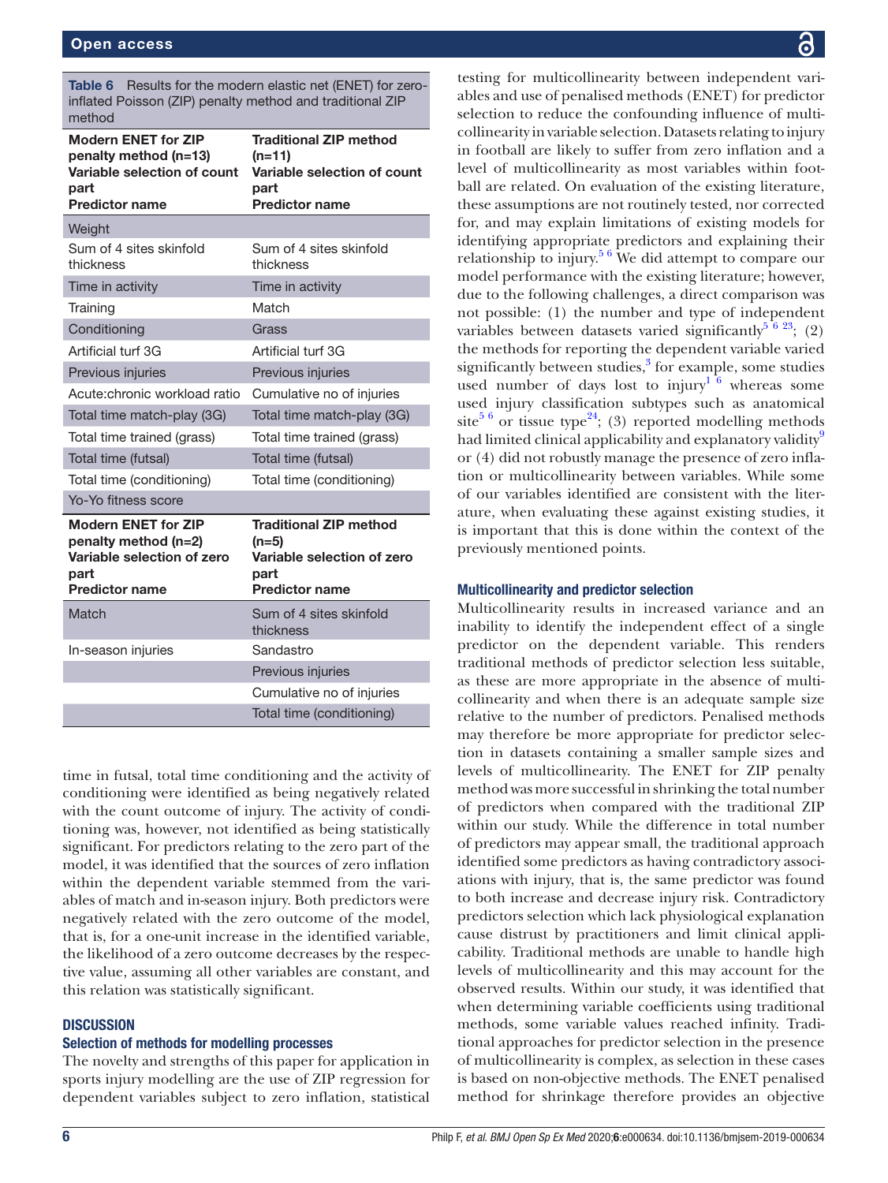<span id="page-5-0"></span>Table 6 Results for the modern elastic net (ENET) for zeroinflated Poisson (ZIP) penalty method and traditional ZIP method

| <b>Modern ENET for ZIP</b><br>penalty method (n=13)<br>Variable selection of count<br>part<br><b>Predictor name</b> | <b>Traditional ZIP method</b><br>$(n=11)$<br>Variable selection of count<br>part<br><b>Predictor name</b> |
|---------------------------------------------------------------------------------------------------------------------|-----------------------------------------------------------------------------------------------------------|
| Weight                                                                                                              |                                                                                                           |
| Sum of 4 sites skinfold<br>thickness                                                                                | Sum of 4 sites skinfold<br>thickness                                                                      |
| Time in activity                                                                                                    | Time in activity                                                                                          |
| Training                                                                                                            | Match                                                                                                     |
| Conditioning                                                                                                        | Grass                                                                                                     |
| Artificial turf 3G                                                                                                  | Artificial turf 3G                                                                                        |
| Previous injuries                                                                                                   | Previous injuries                                                                                         |
| Acute: chronic workload ratio                                                                                       | Cumulative no of injuries                                                                                 |
| Total time match-play (3G)                                                                                          | Total time match-play (3G)                                                                                |
| Total time trained (grass)                                                                                          | Total time trained (grass)                                                                                |
| Total time (futsal)                                                                                                 | Total time (futsal)                                                                                       |
| Total time (conditioning)                                                                                           | Total time (conditioning)                                                                                 |
| Yo-Yo fitness score                                                                                                 |                                                                                                           |
| <b>Modern ENET for ZIP</b><br>penalty method (n=2)<br>Variable selection of zero<br>part<br><b>Predictor name</b>   | <b>Traditional ZIP method</b><br>$(n=5)$<br>Variable selection of zero<br>part<br><b>Predictor name</b>   |
| Match                                                                                                               | Sum of 4 sites skinfold<br>thickness                                                                      |
| In-season injuries                                                                                                  | Sandastro                                                                                                 |
|                                                                                                                     | Previous injuries                                                                                         |
|                                                                                                                     | Cumulative no of injuries                                                                                 |
|                                                                                                                     | Total time (conditioning)                                                                                 |

time in futsal, total time conditioning and the activity of conditioning were identified as being negatively related with the count outcome of injury. The activity of conditioning was, however, not identified as being statistically significant. For predictors relating to the zero part of the model, it was identified that the sources of zero inflation within the dependent variable stemmed from the variables of match and in-season injury. Both predictors were negatively related with the zero outcome of the model, that is, for a one-unit increase in the identified variable, the likelihood of a zero outcome decreases by the respective value, assuming all other variables are constant, and this relation was statistically significant.

# **DISCUSSION**

#### Selection of methods for modelling processes

The novelty and strengths of this paper for application in sports injury modelling are the use of ZIP regression for dependent variables subject to zero inflation, statistical

testing for multicollinearity between independent variables and use of penalised methods (ENET) for predictor selection to reduce the confounding influence of multicollinearity in variable selection. Datasets relating to injury in football are likely to suffer from zero inflation and a level of multicollinearity as most variables within football are related. On evaluation of the existing literature, these assumptions are not routinely tested, nor corrected for, and may explain limitations of existing models for identifying appropriate predictors and explaining their relationship to injury.<sup>56</sup> We did attempt to compare our model performance with the existing literature; however, due to the following challenges, a direct comparison was not possible: (1) the number and type of independent variables between datasets varied significantly<sup>5 6 23</sup>; (2) the methods for reporting the dependent variable varied significantly between studies,<sup>3</sup> for example, some studies used number of days lost to injury<sup>1  $\delta$ </sup> whereas some used injury classification subtypes such as anatomical site<sup>5 6</sup> or tissue type<sup>24</sup>; (3) reported modelling methods had limited clinical applicability and explanatory validity<sup>[9](#page-8-15)</sup> or (4) did not robustly manage the presence of zero inflation or multicollinearity between variables. While some of our variables identified are consistent with the literature, when evaluating these against existing studies, it is important that this is done within the context of the previously mentioned points.

#### Multicollinearity and predictor selection

Multicollinearity results in increased variance and an inability to identify the independent effect of a single predictor on the dependent variable. This renders traditional methods of predictor selection less suitable, as these are more appropriate in the absence of multicollinearity and when there is an adequate sample size relative to the number of predictors. Penalised methods may therefore be more appropriate for predictor selection in datasets containing a smaller sample sizes and levels of multicollinearity. The ENET for ZIP penalty method was more successful in shrinking the total number of predictors when compared with the traditional ZIP within our study. While the difference in total number of predictors may appear small, the traditional approach identified some predictors as having contradictory associations with injury, that is, the same predictor was found to both increase and decrease injury risk. Contradictory predictors selection which lack physiological explanation cause distrust by practitioners and limit clinical applicability. Traditional methods are unable to handle high levels of multicollinearity and this may account for the observed results. Within our study, it was identified that when determining variable coefficients using traditional methods, some variable values reached infinity. Traditional approaches for predictor selection in the presence of multicollinearity is complex, as selection in these cases is based on non-objective methods. The ENET penalised method for shrinkage therefore provides an objective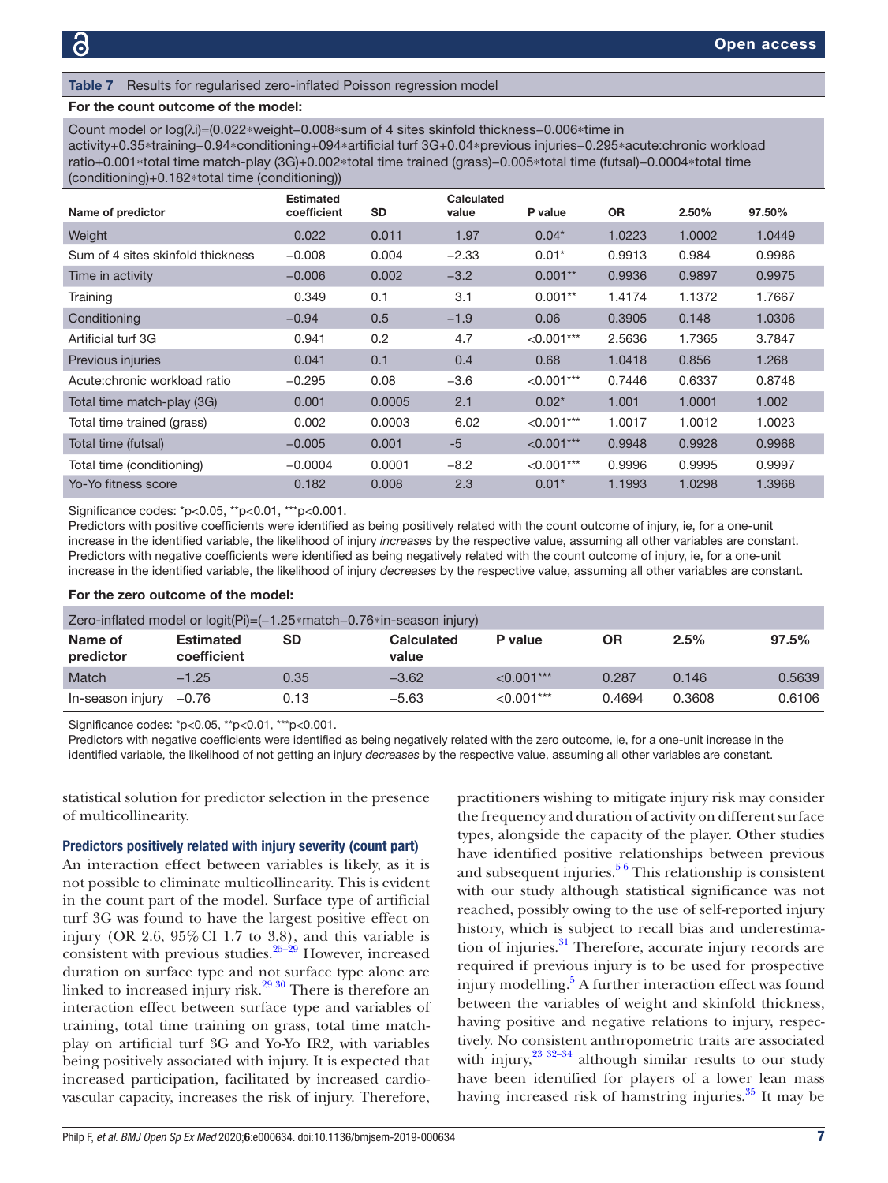# <span id="page-6-0"></span>Table 7 Results for regularised zero-inflated Poisson regression model

# For the count outcome of the model:

Count model or log(λi)=(0.022∗weight−0.008∗sum of 4 sites skinfold thickness−0.006∗time in activity+0.35∗training−0.94∗conditioning+094∗artificial turf 3G+0.04∗previous injuries−0.295∗acute:chronic workload ratio+0.001∗total time match-play (3G)+0.002∗total time trained (grass)−0.005∗total time (futsal)−0.0004∗total time (conditioning)+0.182∗total time (conditioning))

| Name of predictor                 | <b>Estimated</b><br>coefficient | <b>SD</b> | Calculated<br>value | P value      | <b>OR</b> | 2.50%  | 97.50% |
|-----------------------------------|---------------------------------|-----------|---------------------|--------------|-----------|--------|--------|
| Weight                            | 0.022                           | 0.011     | 1.97                | $0.04*$      | 1.0223    | 1.0002 | 1.0449 |
| Sum of 4 sites skinfold thickness | $-0.008$                        | 0.004     | $-2.33$             | $0.01*$      | 0.9913    | 0.984  | 0.9986 |
| Time in activity                  | $-0.006$                        | 0.002     | $-3.2$              | $0.001**$    | 0.9936    | 0.9897 | 0.9975 |
| Training                          | 0.349                           | 0.1       | 3.1                 | $0.001**$    | 1.4174    | 1.1372 | 1.7667 |
| Conditioning                      | $-0.94$                         | 0.5       | $-1.9$              | 0.06         | 0.3905    | 0.148  | 1.0306 |
| Artificial turf 3G                | 0.941                           | 0.2       | 4.7                 | $< 0.001***$ | 2.5636    | 1.7365 | 3.7847 |
| Previous injuries                 | 0.041                           | 0.1       | 0.4                 | 0.68         | 1.0418    | 0.856  | 1.268  |
| Acute: chronic workload ratio     | $-0.295$                        | 0.08      | $-3.6$              | $< 0.001***$ | 0.7446    | 0.6337 | 0.8748 |
| Total time match-play (3G)        | 0.001                           | 0.0005    | 2.1                 | $0.02*$      | 1.001     | 1.0001 | 1.002  |
| Total time trained (grass)        | 0.002                           | 0.0003    | 6.02                | $< 0.001***$ | 1.0017    | 1.0012 | 1.0023 |
| Total time (futsal)               | $-0.005$                        | 0.001     | $-5$                | $< 0.001***$ | 0.9948    | 0.9928 | 0.9968 |
| Total time (conditioning)         | $-0.0004$                       | 0.0001    | $-8.2$              | $< 0.001***$ | 0.9996    | 0.9995 | 0.9997 |
| Yo-Yo fitness score               | 0.182                           | 0.008     | 2.3                 | $0.01*$      | 1.1993    | 1.0298 | 1.3968 |

Significance codes: \*p<0.05, \*\*p<0.01, \*\*\*p<0.001.

Predictors with positive coefficients were identified as being positively related with the count outcome of injury, ie, for a one-unit increase in the identified variable, the likelihood of injury *increases* by the respective value, assuming all other variables are constant. Predictors with negative coefficients were identified as being negatively related with the count outcome of injury, ie, for a one-unit increase in the identified variable, the likelihood of injury *decreases* by the respective value, assuming all other variables are constant.

| For the zero outcome of the model:                                   |                                 |           |                            |              |           |        |        |
|----------------------------------------------------------------------|---------------------------------|-----------|----------------------------|--------------|-----------|--------|--------|
| Zero-inflated model or logit(Pi)=(-1.25*match-0.76*in-season injury) |                                 |           |                            |              |           |        |        |
| Name of<br>predictor                                                 | <b>Estimated</b><br>coefficient | <b>SD</b> | <b>Calculated</b><br>value | P value      | <b>OR</b> | 2.5%   | 97.5%  |
| Match                                                                | $-1.25$                         | 0.35      | $-3.62$                    | $< 0.001***$ | 0.287     | 0.146  | 0.5639 |
| In-season injury                                                     | $-0.76$                         | 0.13      | $-5.63$                    | $< 0.001***$ | 0.4694    | 0.3608 | 0.6106 |

Significance codes: \*p<0.05, \*\*p<0.01, \*\*\*p<0.001.

Predictors with negative coefficients were identified as being negatively related with the zero outcome, ie, for a one-unit increase in the identified variable, the likelihood of not getting an injury *decreases* by the respective value, assuming all other variables are constant.

statistical solution for predictor selection in the presence of multicollinearity.

# Predictors positively related with injury severity (count part)

An interaction effect between variables is likely, as it is not possible to eliminate multicollinearity. This is evident in the count part of the model. Surface type of artificial turf 3G was found to have the largest positive effect on injury (OR 2.6, 95%CI 1.7 to 3.8), and this variable is consistent with previous studies.[25–29](#page-9-1) However, increased duration on surface type and not surface type alone are linked to increased injury risk.<sup>29 30</sup> There is therefore an interaction effect between surface type and variables of training, total time training on grass, total time matchplay on artificial turf 3G and Yo-Yo IR2, with variables being positively associated with injury. It is expected that increased participation, facilitated by increased cardiovascular capacity, increases the risk of injury. Therefore,

practitioners wishing to mitigate injury risk may consider the frequency and duration of activity on different surface types, alongside the capacity of the player. Other studies have identified positive relationships between previous and subsequent injuries. $56$  This relationship is consistent with our study although statistical significance was not reached, possibly owing to the use of self-reported injury history, which is subject to recall bias and underestimation of injuries.<sup>31</sup> Therefore, accurate injury records are required if previous injury is to be used for prospective injury modelling.<sup>5</sup> A further interaction effect was found between the variables of weight and skinfold thickness, having positive and negative relations to injury, respectively. No consistent anthropometric traits are associated with injury,  $23 \frac{32-34}{2}$  although similar results to our study have been identified for players of a lower lean mass having increased risk of hamstring injuries. $35$  It may be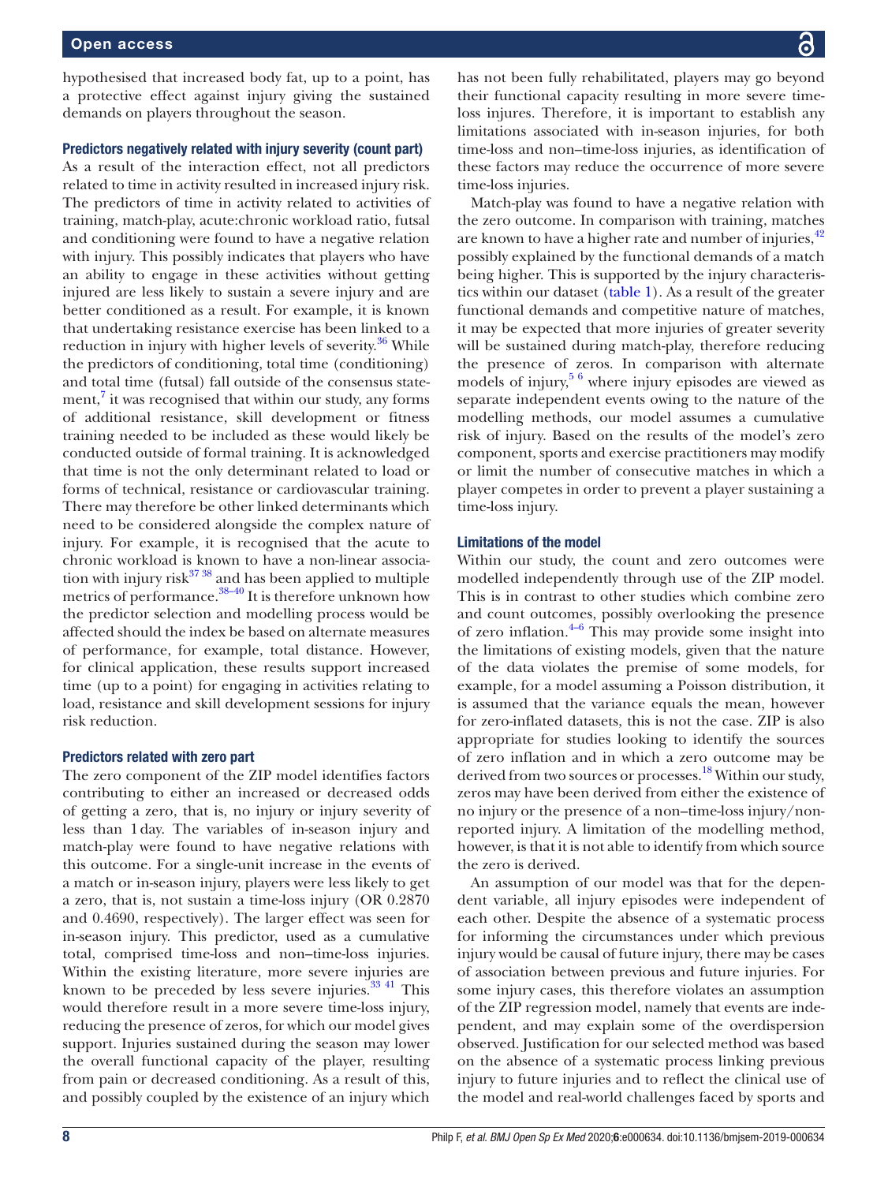hypothesised that increased body fat, up to a point, has a protective effect against injury giving the sustained demands on players throughout the season.

#### Predictors negatively related with injury severity (count part)

As a result of the interaction effect, not all predictors related to time in activity resulted in increased injury risk. The predictors of time in activity related to activities of training, match-play, acute:chronic workload ratio, futsal and conditioning were found to have a negative relation with injury. This possibly indicates that players who have an ability to engage in these activities without getting injured are less likely to sustain a severe injury and are better conditioned as a result. For example, it is known that undertaking resistance exercise has been linked to a reduction in injury with higher levels of severity.<sup>36</sup> While the predictors of conditioning, total time (conditioning) and total time (futsal) fall outside of the consensus statement,<sup>7</sup> it was recognised that within our study, any forms of additional resistance, skill development or fitness training needed to be included as these would likely be conducted outside of formal training. It is acknowledged that time is not the only determinant related to load or forms of technical, resistance or cardiovascular training. There may therefore be other linked determinants which need to be considered alongside the complex nature of injury. For example, it is recognised that the acute to chronic workload is known to have a non-linear association with injury risk $3738$  and has been applied to multiple metrics of performance. $38-40$  It is therefore unknown how the predictor selection and modelling process would be affected should the index be based on alternate measures of performance, for example, total distance. However, for clinical application, these results support increased time (up to a point) for engaging in activities relating to load, resistance and skill development sessions for injury risk reduction.

#### Predictors related with zero part

The zero component of the ZIP model identifies factors contributing to either an increased or decreased odds of getting a zero, that is, no injury or injury severity of less than 1day. The variables of in-season injury and match-play were found to have negative relations with this outcome. For a single-unit increase in the events of a match or in-season injury, players were less likely to get a zero, that is, not sustain a time-loss injury (OR 0.2870 and 0.4690, respectively). The larger effect was seen for in-season injury. This predictor, used as a cumulative total, comprised time-loss and non–time-loss injuries. Within the existing literature, more severe injuries are known to be preceded by less severe injuries. $33 \frac{41}{10}$  This would therefore result in a more severe time-loss injury, reducing the presence of zeros, for which our model gives support. Injuries sustained during the season may lower the overall functional capacity of the player, resulting from pain or decreased conditioning. As a result of this, and possibly coupled by the existence of an injury which

has not been fully rehabilitated, players may go beyond their functional capacity resulting in more severe timeloss injures. Therefore, it is important to establish any limitations associated with in-season injuries, for both time-loss and non–time-loss injuries, as identification of these factors may reduce the occurrence of more severe time-loss injuries.

Match-play was found to have a negative relation with the zero outcome. In comparison with training, matches are known to have a higher rate and number of injuries,  $42$ possibly explained by the functional demands of a match being higher. This is supported by the injury characteristics within our dataset ([table](#page-1-0) 1). As a result of the greater functional demands and competitive nature of matches, it may be expected that more injuries of greater severity will be sustained during match-play, therefore reducing the presence of zeros. In comparison with alternate models of injury,  $56$  where injury episodes are viewed as separate independent events owing to the nature of the modelling methods, our model assumes a cumulative risk of injury. Based on the results of the model's zero component, sports and exercise practitioners may modify or limit the number of consecutive matches in which a player competes in order to prevent a player sustaining a time-loss injury.

### Limitations of the model

Within our study, the count and zero outcomes were modelled independently through use of the ZIP model. This is in contrast to other studies which combine zero and count outcomes, possibly overlooking the presence of zero inflation.[4–6](#page-8-16) This may provide some insight into the limitations of existing models, given that the nature of the data violates the premise of some models, for example, for a model assuming a Poisson distribution, it is assumed that the variance equals the mean, however for zero-inflated datasets, this is not the case. ZIP is also appropriate for studies looking to identify the sources of zero inflation and in which a zero outcome may be derived from two sources or processes.<sup>18</sup> Within our study, zeros may have been derived from either the existence of no injury or the presence of a non–time-loss injury/nonreported injury. A limitation of the modelling method, however, is that it is not able to identify from which source the zero is derived.

An assumption of our model was that for the dependent variable, all injury episodes were independent of each other. Despite the absence of a systematic process for informing the circumstances under which previous injury would be causal of future injury, there may be cases of association between previous and future injuries. For some injury cases, this therefore violates an assumption of the ZIP regression model, namely that events are independent, and may explain some of the overdispersion observed. Justification for our selected method was based on the absence of a systematic process linking previous injury to future injuries and to reflect the clinical use of the model and real-world challenges faced by sports and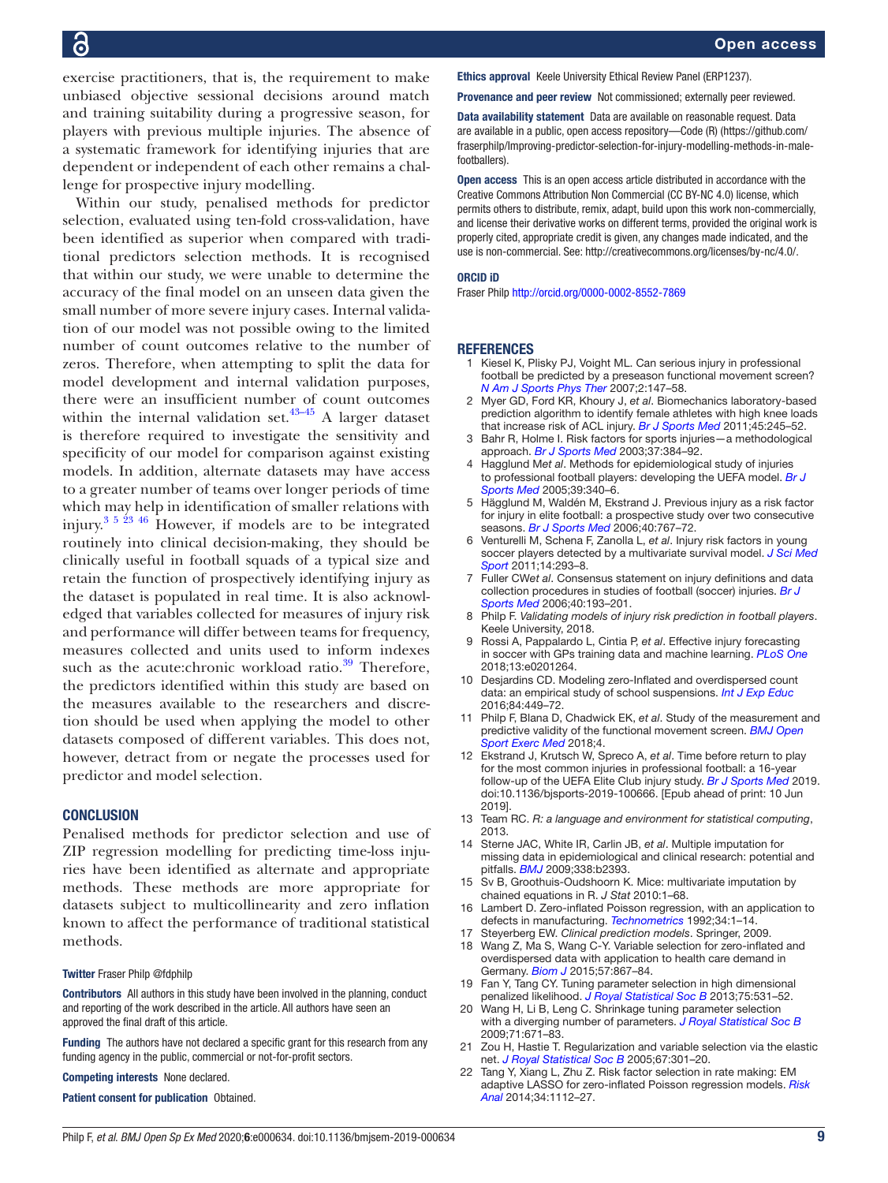exercise practitioners, that is, the requirement to make unbiased objective sessional decisions around match and training suitability during a progressive season, for players with previous multiple injuries. The absence of a systematic framework for identifying injuries that are dependent or independent of each other remains a challenge for prospective injury modelling.

Within our study, penalised methods for predictor selection, evaluated using ten-fold cross-validation, have been identified as superior when compared with traditional predictors selection methods. It is recognised that within our study, we were unable to determine the accuracy of the final model on an unseen data given the small number of more severe injury cases. Internal validation of our model was not possible owing to the limited number of count outcomes relative to the number of zeros. Therefore, when attempting to split the data for model development and internal validation purposes, there were an insufficient number of count outcomes within the internal validation set. $43-45$  A larger dataset is therefore required to investigate the sensitivity and specificity of our model for comparison against existing models. In addition, alternate datasets may have access to a greater number of teams over longer periods of time which may help in identification of smaller relations with injury.[3 5 23 46](#page-8-0) However, if models are to be integrated routinely into clinical decision-making, they should be clinically useful in football squads of a typical size and retain the function of prospectively identifying injury as the dataset is populated in real time. It is also acknowledged that variables collected for measures of injury risk and performance will differ between teams for frequency, measures collected and units used to inform indexes such as the acute:chronic workload ratio. $39$  Therefore, the predictors identified within this study are based on the measures available to the researchers and discretion should be used when applying the model to other datasets composed of different variables. This does not, however, detract from or negate the processes used for predictor and model selection.

#### **CONCLUSION**

Penalised methods for predictor selection and use of ZIP regression modelling for predicting time-loss injuries have been identified as alternate and appropriate methods. These methods are more appropriate for datasets subject to multicollinearity and zero inflation known to affect the performance of traditional statistical methods.

Twitter Fraser Philp [@fdphilp](https://twitter.com/fdphilp)

Contributors All authors in this study have been involved in the planning, conduct and reporting of the work described in the article. All authors have seen an approved the final draft of this article.

Funding The authors have not declared a specific grant for this research from any funding agency in the public, commercial or not-for-profit sectors.

Competing interests None declared.

Patient consent for publication Obtained.

Ethics approval Keele University Ethical Review Panel (ERP1237).

Provenance and peer review Not commissioned; externally peer reviewed.

Data availability statement Data are available on reasonable request. Data are available in a public, open access repository—Code (R) [\(https://github.com/](https://github.com/fraserphilp/Improving-predictor-selection-for-injury-modelling-methods-in-male-footballers) [fraserphilp/Improving-predictor-selection-for-injury-modelling-methods-in-male](https://github.com/fraserphilp/Improving-predictor-selection-for-injury-modelling-methods-in-male-footballers)[footballers\)](https://github.com/fraserphilp/Improving-predictor-selection-for-injury-modelling-methods-in-male-footballers).

Open access This is an open access article distributed in accordance with the Creative Commons Attribution Non Commercial (CC BY-NC 4.0) license, which permits others to distribute, remix, adapt, build upon this work non-commercially, and license their derivative works on different terms, provided the original work is properly cited, appropriate credit is given, any changes made indicated, and the use is non-commercial. See: <http://creativecommons.org/licenses/by-nc/4.0/>.

#### ORCID iD

Fraser Philp <http://orcid.org/0000-0002-8552-7869>

#### **REFERENCES**

- <span id="page-8-14"></span>1 Kiesel K, Plisky PJ, Voight ML. Can serious injury in professional football be predicted by a preseason functional movement screen? *[N Am J Sports Phys Ther](http://www.ncbi.nlm.nih.gov/pubmed/21522210)* 2007;2:147–58.
- 2 Myer GD, Ford KR, Khoury J, *et al*. Biomechanics laboratory-based prediction algorithm to identify female athletes with high knee loads that increase risk of ACL injury. *[Br J Sports Med](http://dx.doi.org/10.1136/bjsm.2009.069351)* 2011;45:245–52.
- <span id="page-8-0"></span>3 Bahr R, Holme I. Risk factors for sports injuries—a methodological approach. *[Br J Sports Med](http://dx.doi.org/10.1136/bjsm.37.5.384)* 2003;37:384–92.
- <span id="page-8-16"></span>4 Hagglund M*et al*. Methods for epidemiological study of injuries to professional football players: developing the UEFA model. *[Br J](http://dx.doi.org/10.1136/bjsm.2005.018267)  [Sports Med](http://dx.doi.org/10.1136/bjsm.2005.018267)* 2005;39:340–6.
- <span id="page-8-13"></span>5 Hägglund M, Waldén M, Ekstrand J. Previous injury as a risk factor for injury in elite football: a prospective study over two consecutive seasons. *[Br J Sports Med](http://dx.doi.org/10.1136/bjsm.2006.026609)* 2006;40:767–72.
- 6 Venturelli M, Schena F, Zanolla L, *et al*. Injury risk factors in young soccer players detected by a multivariate survival model. *[J Sci Med](http://dx.doi.org/10.1016/j.jsams.2011.02.013)  [Sport](http://dx.doi.org/10.1016/j.jsams.2011.02.013)* 2011;14:293–8.
- <span id="page-8-1"></span>7 Fuller CW*et al*. Consensus statement on injury definitions and data collection procedures in studies of football (soccer) injuries. *[Br J](http://dx.doi.org/10.1136/bjsm.2005.025270)  [Sports Med](http://dx.doi.org/10.1136/bjsm.2005.025270)* 2006;40:193–201.
- <span id="page-8-2"></span>8 Philp F. *Validating models of injury risk prediction in football players*. Keele University, 2018.
- <span id="page-8-15"></span>9 Rossi A, Pappalardo L, Cintia P, *et al*. Effective injury forecasting in soccer with GPs training data and machine learning. *[PLoS One](http://dx.doi.org/10.1371/journal.pone.0201264)* 2018;13:e0201264.
- <span id="page-8-3"></span>10 Desjardins CD. Modeling zero-Inflated and overdispersed count data: an empirical study of school suspensions. *[Int J Exp Educ](http://dx.doi.org/10.1080/00220973.2015.1054334)* 2016;84:449–72.
- 11 Philp F, Blana D, Chadwick EK, *et al*. Study of the measurement and predictive validity of the functional movement screen. *[BMJ Open](http://dx.doi.org/10.1136/bmjsem-2018-000357)  [Sport Exerc Med](http://dx.doi.org/10.1136/bmjsem-2018-000357)* 2018;4.
- <span id="page-8-4"></span>12 Ekstrand J, Krutsch W, Spreco A, *et al*. Time before return to play for the most common injuries in professional football: a 16-year follow-up of the UEFA Elite Club injury study. *[Br J Sports Med](http://dx.doi.org/10.1136/bjsports-2019-100666)* 2019. doi:10.1136/bjsports-2019-100666. [Epub ahead of print: 10 Jun 2019].
- <span id="page-8-5"></span>13 Team RC. *R: a language and environment for statistical computing*, 2013.
- <span id="page-8-6"></span>14 Sterne JAC, White IR, Carlin JB, *et al*. Multiple imputation for missing data in epidemiological and clinical research: potential and pitfalls. *[BMJ](http://dx.doi.org/10.1136/bmj.b2393)* 2009;338:b2393.
- 15 Sv B, Groothuis-Oudshoorn K. Mice: multivariate imputation by chained equations in R. *J Stat* 2010:1–68.
- <span id="page-8-7"></span>16 Lambert D. Zero-inflated Poisson regression, with an application to defects in manufacturing. *[Technometrics](http://dx.doi.org/10.2307/1269547)* 1992;34:1–14.
- <span id="page-8-8"></span>17 Steyerberg EW. *Clinical prediction models*. Springer, 2009.
- <span id="page-8-9"></span>18 Wang Z, Ma S, Wang C-Y. Variable selection for zero-inflated and overdispersed data with application to health care demand in Germany. *[Biom J](http://dx.doi.org/10.1002/bimj.201400143)* 2015;57:867–84.
- <span id="page-8-10"></span>19 Fan Y, Tang CY. Tuning parameter selection in high dimensional penalized likelihood. *[J Royal Statistical Soc B](http://dx.doi.org/10.1111/rssb.12001)* 2013;75:531–52.
- <span id="page-8-11"></span>20 Wang H, Li B, Leng C. Shrinkage tuning parameter selection with a diverging number of parameters. *[J Royal Statistical Soc B](http://dx.doi.org/10.1111/j.1467-9868.2008.00693.x)* 2009;71:671–83.
- <span id="page-8-12"></span>21 Zou H, Hastie T. Regularization and variable selection via the elastic net. *[J Royal Statistical Soc B](http://dx.doi.org/10.1111/j.1467-9868.2005.00503.x)* 2005;67:301–20.
- 22 Tang Y, Xiang L, Zhu Z. Risk factor selection in rate making: EM adaptive LASSO for zero-inflated Poisson regression models. *[Risk](http://dx.doi.org/10.1111/risa.12162)  [Anal](http://dx.doi.org/10.1111/risa.12162)* 2014;34:1112–27.